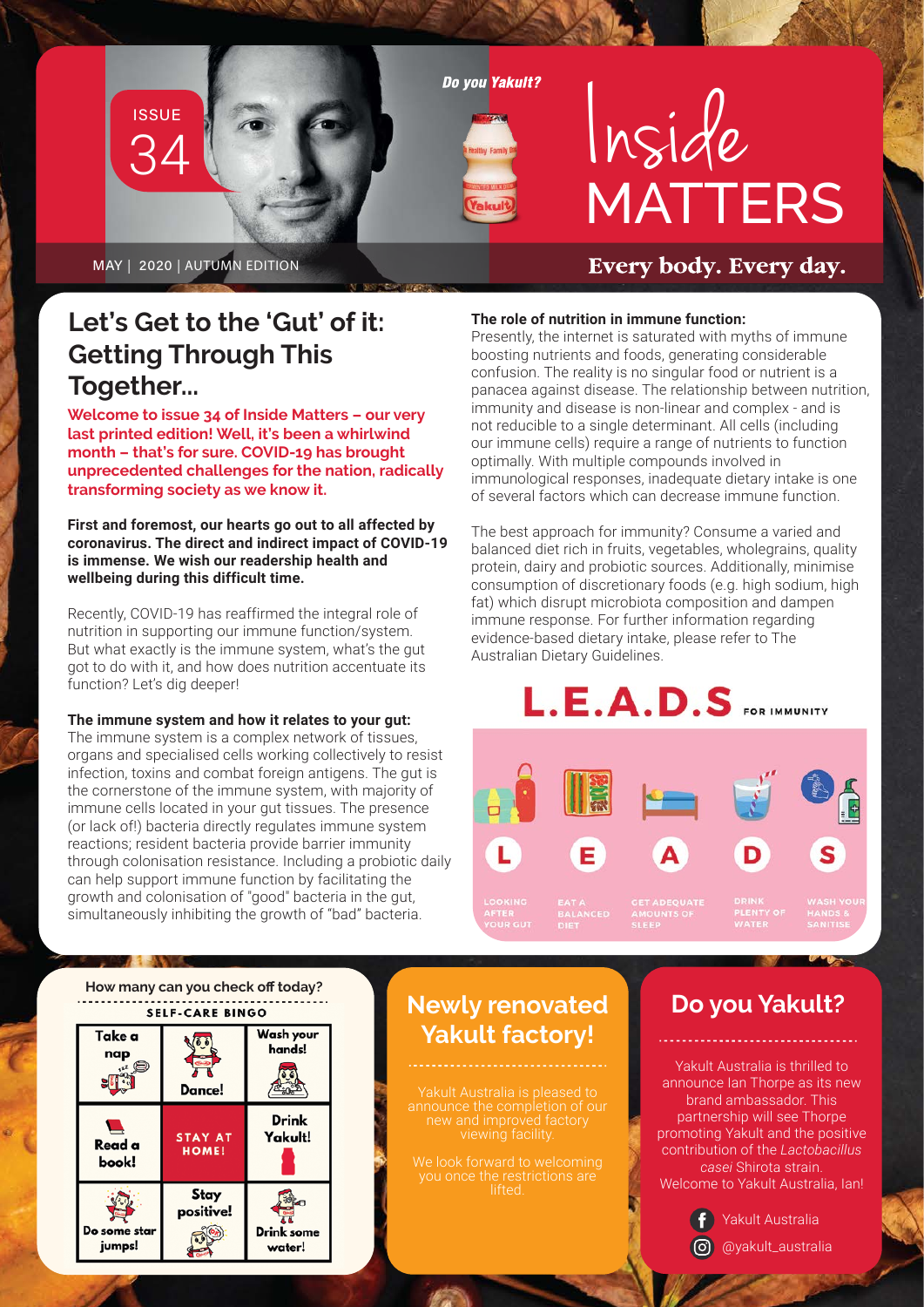# 34 **ISSUE**

**Do vou Yakult?** 

alcul



Every body. Every day.

MAY | 2020 | AUTUMN EDITION

### **Let's Get to the 'Gut' of it: Getting Through This Together...**

**Welcome to issue 34 of Inside Matters – our very last printed edition! Well, it's been a whirlwind month – that's for sure. COVID-19 has brought unprecedented challenges for the nation, radically transforming society as we know it.** 

**First and foremost, our hearts go out to all affected by coronavirus. The direct and indirect impact of COVID-19 is immense. We wish our readership health and wellbeing during this difficult time.**

Recently, COVID-19 has reaffirmed the integral role of nutrition in supporting our immune function/system. But what exactly is the immune system, what's the gut got to do with it, and how does nutrition accentuate its function? Let's dig deeper!

#### **The immune system and how it relates to your gut:**

The immune system is a complex network of tissues, organs and specialised cells working collectively to resist infection, toxins and combat foreign antigens. The gut is the cornerstone of the immune system, with majority of immune cells located in your gut tissues. The presence (or lack of!) bacteria directly regulates immune system reactions; resident bacteria provide barrier immunity through colonisation resistance. Including a probiotic daily can help support immune function by facilitating the growth and colonisation of "good" bacteria in the gut, simultaneously inhibiting the growth of "bad" bacteria.

#### **The role of nutrition in immune function:**

Presently, the internet is saturated with myths of immune boosting nutrients and foods, generating considerable confusion. The reality is no singular food or nutrient is a panacea against disease. The relationship between nutrition, immunity and disease is non-linear and complex - and is not reducible to a single determinant. All cells (including our immune cells) require a range of nutrients to function optimally. With multiple compounds involved in immunological responses, inadequate dietary intake is one of several factors which can decrease immune function.

The best approach for immunity? Consume a varied and balanced diet rich in fruits, vegetables, wholegrains, quality protein, dairy and probiotic sources. Additionally, minimise consumption of discretionary foods (e.g. high sodium, high fat) which disrupt microbiota composition and dampen immune response. For further information regarding evidence-based dietary intake, please refer to The Australian Dietary Guidelines.

# $L.E.A.D.S$  FOR IMMUNITY



S



### **Newly renovated Yakult factory!**

### **Do you Yakult?**

Yakult Australia is thrilled to announce Ian Thorpe as its new brand ambassador. This partnership will see Thorpe promoting Yakult and the positive contribution of the *Lactobacillus casei* Shirota strain. Welcome to Yakult Australia, Ian!



@yakult\_australia Yakult Australia